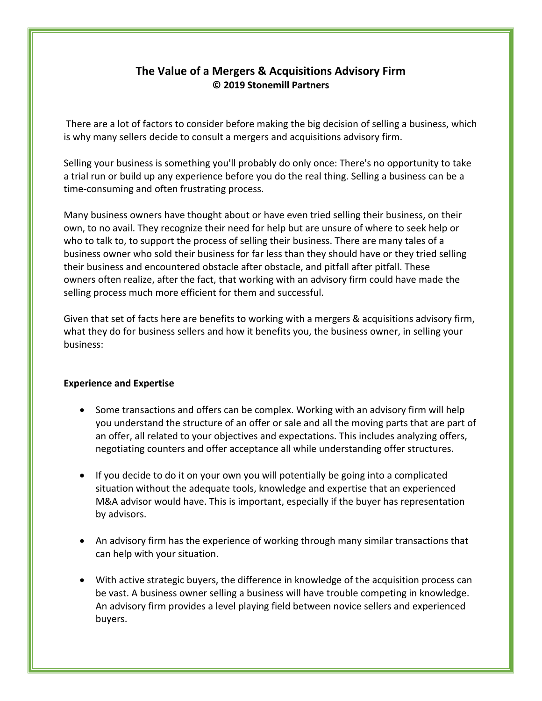# **The Value of a Mergers & Acquisitions Advisory Firm © 2019 Stonemill Partners**

There are a lot of factors to consider before making the big decision of selling a business, which is why many sellers decide to consult a mergers and acquisitions advisory firm.

Selling your business is something you'll probably do only once: There's no opportunity to take a trial run or build up any experience before you do the real thing. Selling a business can be a time-consuming and often frustrating process.

Many business owners have thought about or have even tried selling their business, on their own, to no avail. They recognize their need for help but are unsure of where to seek help or who to talk to, to support the process of selling their business. There are many tales of a business owner who sold their business for far less than they should have or they tried selling their business and encountered obstacle after obstacle, and pitfall after pitfall. These owners often realize, after the fact, that working with an advisory firm could have made the selling process much more efficient for them and successful.

Given that set of facts here are benefits to working with a mergers & acquisitions advisory firm, what they do for business sellers and how it benefits you, the business owner, in selling your business:

# **Experience and Expertise**

- Some transactions and offers can be complex. Working with an advisory firm will help you understand the structure of an offer or sale and all the moving parts that are part of an offer, all related to your objectives and expectations. This includes analyzing offers, negotiating counters and offer acceptance all while understanding offer structures.
- If you decide to do it on your own you will potentially be going into a complicated situation without the adequate tools, knowledge and expertise that an experienced M&A advisor would have. This is important, especially if the buyer has representation by advisors.
- An advisory firm has the experience of working through many similar transactions that can help with your situation.
- With active strategic buyers, the difference in knowledge of the acquisition process can be vast. A business owner selling a business will have trouble competing in knowledge. An advisory firm provides a level playing field between novice sellers and experienced buyers.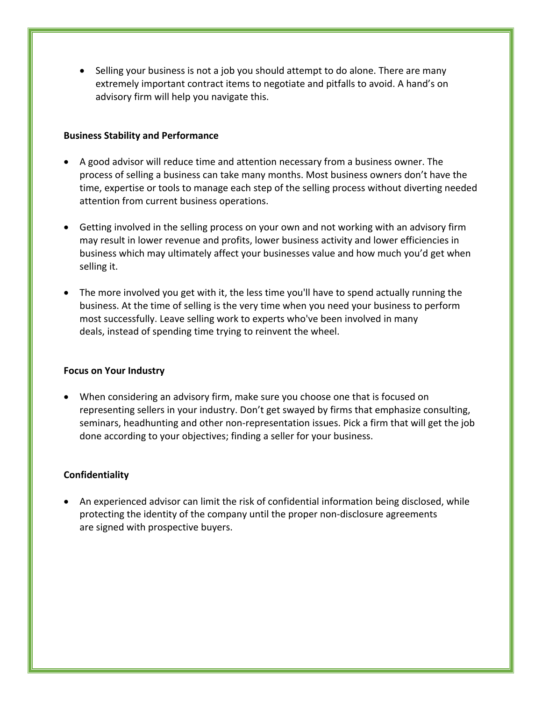• Selling your business is not a job you should attempt to do alone. There are many extremely important contract items to negotiate and pitfalls to avoid. A hand's on advisory firm will help you navigate this.

### **Business Stability and Performance**

- A good advisor will reduce time and attention necessary from a business owner. The process of selling a business can take many months. Most business owners don't have the time, expertise or tools to manage each step of the selling process without diverting needed attention from current business operations.
- Getting involved in the selling process on your own and not working with an advisory firm may result in lower revenue and profits, lower business activity and lower efficiencies in business which may ultimately affect your businesses value and how much you'd get when selling it.
- The more involved you get with it, the less time you'll have to spend actually running the business. At the time of selling is the very time when you need your business to perform most successfully. Leave selling work to experts who've been involved in many deals, instead of spending time trying to reinvent the wheel.

#### **Focus on Your Industry**

• When considering an advisory firm, make sure you choose one that is focused on representing sellers in your industry. Don't get swayed by firms that emphasize consulting, seminars, headhunting and other non-representation issues. Pick a firm that will get the job done according to your objectives; finding a seller for your business.

# **Confidentiality**

An experienced advisor can limit the risk of confidential information being disclosed, while protecting the identity of the company until the proper non-disclosure agreements are signed with prospective buyers.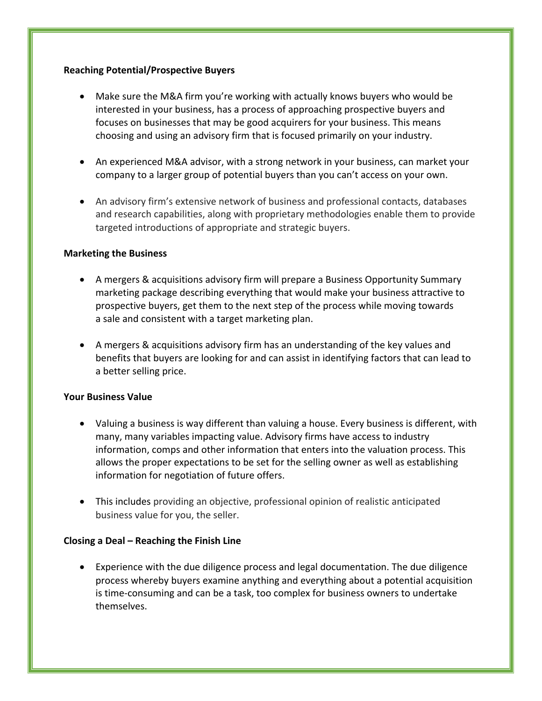# **Reaching Potential/Prospective Buyers**

- Make sure the M&A firm you're working with actually knows buyers who would be interested in your business, has a process of approaching prospective buyers and focuses on businesses that may be good acquirers for your business. This means choosing and using an advisory firm that is focused primarily on your industry.
- An experienced M&A advisor, with a strong network in your business, can market your company to a larger group of potential buyers than you can't access on your own.
- An advisory firm's extensive network of business and professional contacts, databases and research capabilities, along with proprietary methodologies enable them to provide targeted introductions of appropriate and strategic buyers.

# **Marketing the Business**

- A mergers & acquisitions advisory firm will prepare a Business Opportunity Summary marketing package describing everything that would make your business attractive to prospective buyers, get them to the next step of the process while moving towards a sale and consistent with a target marketing plan.
- A mergers & acquisitions advisory firm has an understanding of the key values and benefits that buyers are looking for and can assist in identifying factors that can lead to a better selling price.

# **Your Business Value**

- Valuing a business is way different than valuing a house. Every business is different, with many, many variables impacting value. Advisory firms have access to industry information, comps and other information that enters into the valuation process. This allows the proper expectations to be set for the selling owner as well as establishing information for negotiation of future offers.
- This includes providing an objective, professional opinion of realistic anticipated business value for you, the seller.

# **Closing a Deal – Reaching the Finish Line**

• Experience with the due diligence process and legal documentation. The due diligence process whereby buyers examine anything and everything about a potential acquisition is time-consuming and can be a task, too complex for business owners to undertake themselves.